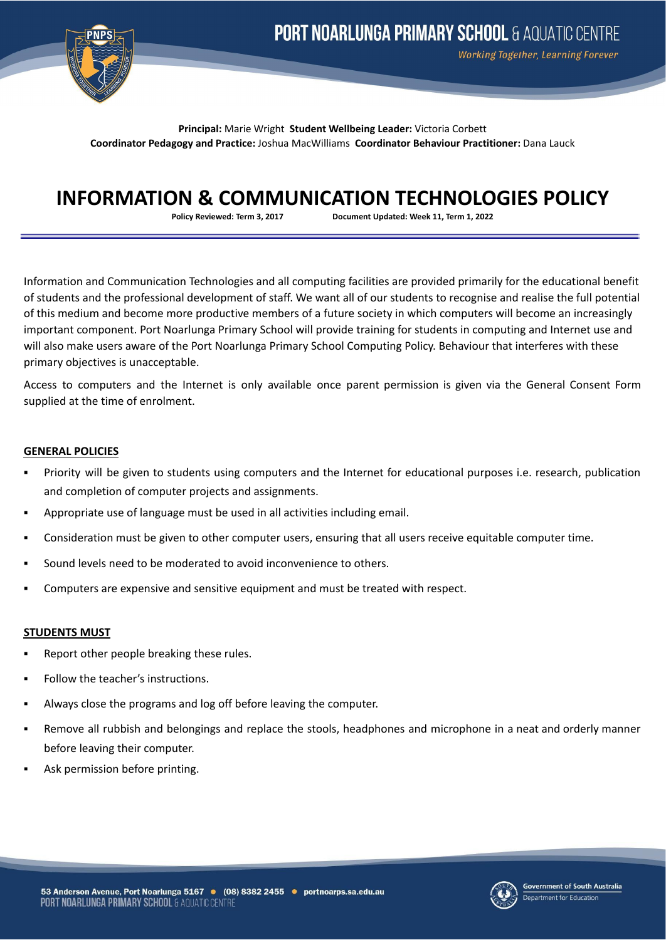

Working Together, Learning Forever

**Principal:** Marie Wright **Student Wellbeing Leader:** Victoria Corbett **Coordinator Pedagogy and Practice:** Joshua MacWilliams **Coordinator Behaviour Practitioner:** Dana Lauck

# **INFORMATION & COMMUNICATION TECHNOLOGIES POLICY**

**Policy Reviewed: Term 3, 2017 Document Updated: Week 11, Term 1, 2022**

Information and Communication Technologies and all computing facilities are provided primarily for the educational benefit of students and the professional development of staff. We want all of our students to recognise and realise the full potential of this medium and become more productive members of a future society in which computers will become an increasingly important component. Port Noarlunga Primary School will provide training for students in computing and Internet use and will also make users aware of the Port Noarlunga Primary School Computing Policy. Behaviour that interferes with these primary objectives is unacceptable.

Access to computers and the Internet is only available once parent permission is given via the General Consent Form supplied at the time of enrolment.

## **GENERAL POLICIES**

- Priority will be given to students using computers and the Internet for educational purposes i.e. research, publication and completion of computer projects and assignments.
- Appropriate use of language must be used in all activities including email.
- Consideration must be given to other computer users, ensuring that all users receive equitable computer time.
- Sound levels need to be moderated to avoid inconvenience to others.
- Computers are expensive and sensitive equipment and must be treated with respect.

## **STUDENTS MUST**

- Report other people breaking these rules.
- Follow the teacher's instructions.
- Always close the programs and log off before leaving the computer.
- Remove all rubbish and belongings and replace the stools, headphones and microphone in a neat and orderly manner before leaving their computer.
- Ask permission before printing.